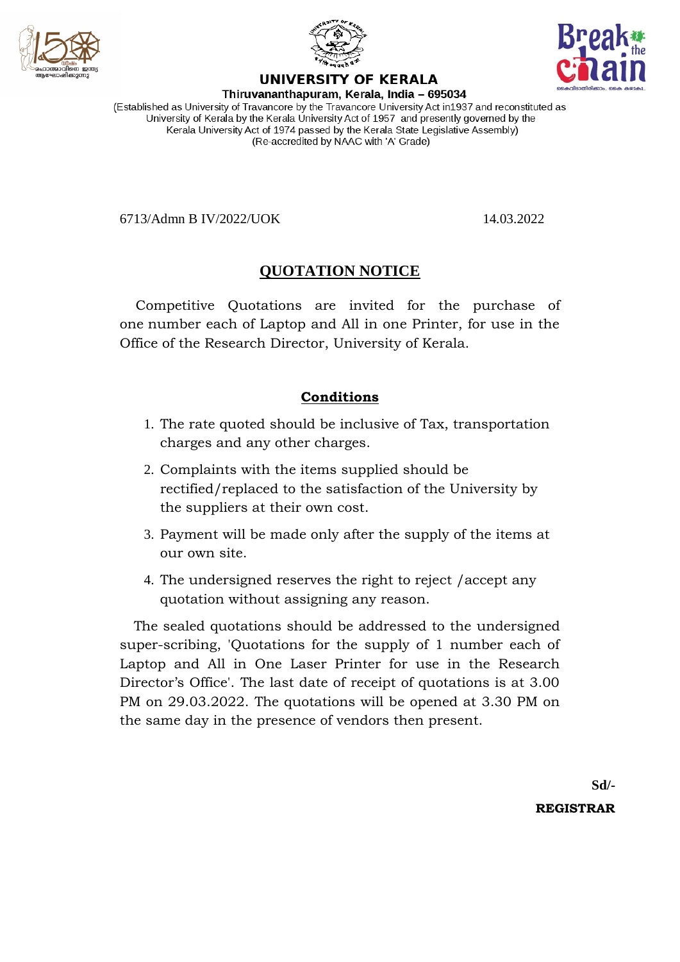





## UNIVERSITY OF KERALA

Thiruvananthapuram, Kerala, India - 695034 (Established as University of Travancore by the Travancore University Act in1937 and reconstituted as University of Kerala by the Kerala University Act of 1957 and presently governed by the Kerala University Act of 1974 passed by the Kerala State Legislative Assembly) (Re-accredited by NAAC with 'A' Grade)

6713/Admn B IV/2022/UOK 14.03.2022

## **QUOTATION NOTICE**

Competitive Quotations are invited for the purchase of one number each of Laptop and All in one Printer, for use in the Office of the Research Director, University of Kerala.

### **Conditions**

- 1. The rate quoted should be inclusive of Tax, transportation charges and any other charges.
- 2. Complaints with the items supplied should be rectified/replaced to the satisfaction of the University by the suppliers at their own cost.
- 3. Payment will be made only after the supply of the items at our own site.
- 4. The undersigned reserves the right to reject /accept any quotation without assigning any reason.

 The sealed quotations should be addressed to the undersigned super-scribing, 'Quotations for the supply of 1 number each of Laptop and All in One Laser Printer for use in the Research Director's Office'. The last date of receipt of quotations is at 3.00 PM on 29.03.2022. The quotations will be opened at 3.30 PM on the same day in the presence of vendors then present.

**Sd/-**

**REGISTRAR**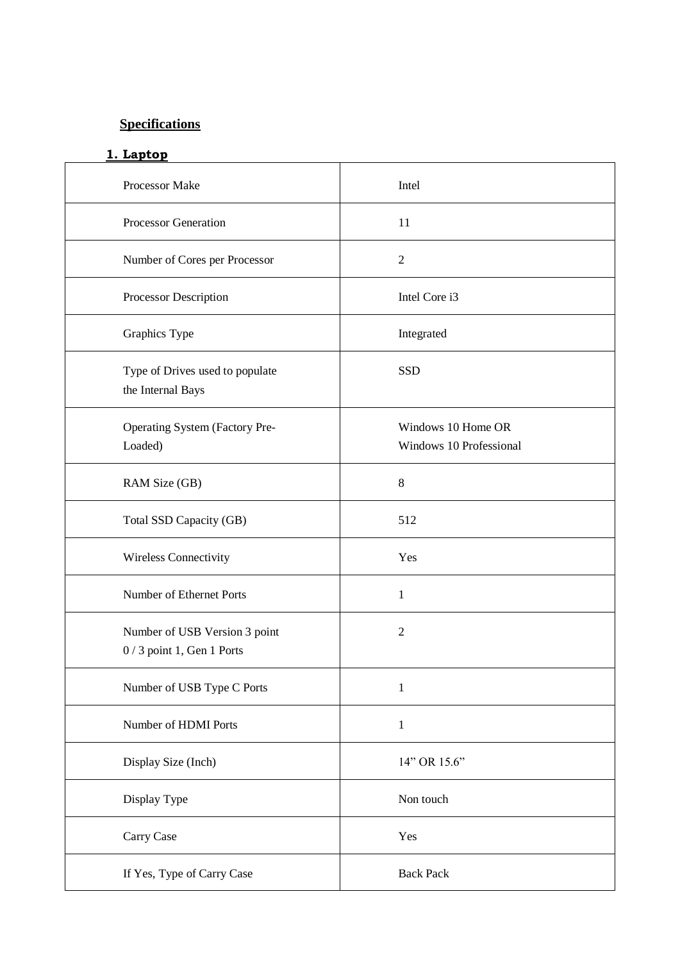# **Specifications**

#### **1. Laptop**

| Processor Make                                              | Intel                                         |
|-------------------------------------------------------------|-----------------------------------------------|
| <b>Processor Generation</b>                                 | 11                                            |
| Number of Cores per Processor                               | $\overline{2}$                                |
| Processor Description                                       | Intel Core i3                                 |
| Graphics Type                                               | Integrated                                    |
| Type of Drives used to populate<br>the Internal Bays        | <b>SSD</b>                                    |
| Operating System (Factory Pre-<br>Loaded)                   | Windows 10 Home OR<br>Windows 10 Professional |
| RAM Size (GB)                                               | 8                                             |
| Total SSD Capacity (GB)                                     | 512                                           |
| Wireless Connectivity                                       | Yes                                           |
| Number of Ethernet Ports                                    | $\mathbf{1}$                                  |
| Number of USB Version 3 point<br>0 / 3 point 1, Gen 1 Ports | $\mathfrak{2}$                                |
| Number of USB Type C Ports                                  | $\mathbf{1}$                                  |
| Number of HDMI Ports                                        | $\mathbf{1}$                                  |
| Display Size (Inch)                                         | 14" OR 15.6"                                  |
| Display Type                                                | Non touch                                     |
| Carry Case                                                  | Yes                                           |
| If Yes, Type of Carry Case                                  | <b>Back Pack</b>                              |